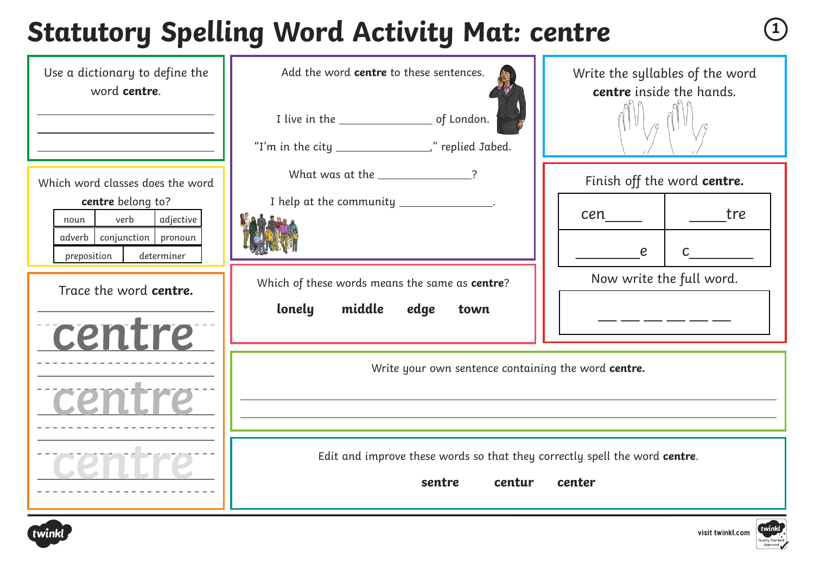# **Statutory Spelling Word Activity Mat: centre <sup>1</sup>**

| Use a dictionary to define the<br>word centre.                                                                                                                                         | Add the word centre to these sentences.<br>"I'm in the city ______________________," replied Jabed.                                                                                                                                                                                                                                                                                                                                                 | Write the syllables of the word<br>centre inside the hands.                                                                             |
|----------------------------------------------------------------------------------------------------------------------------------------------------------------------------------------|-----------------------------------------------------------------------------------------------------------------------------------------------------------------------------------------------------------------------------------------------------------------------------------------------------------------------------------------------------------------------------------------------------------------------------------------------------|-----------------------------------------------------------------------------------------------------------------------------------------|
| Which word classes does the word<br>centre belong to?<br>verb<br>adjective<br>noun<br>conjunction   pronoun<br>adverb<br>determiner<br>preposition<br>Trace the word centre.<br>centre | What was at the $\frac{1}{2}$ $\frac{1}{2}$ $\frac{1}{2}$ $\frac{1}{2}$ $\frac{1}{2}$ $\frac{1}{2}$ $\frac{1}{2}$ $\frac{1}{2}$ $\frac{1}{2}$ $\frac{1}{2}$ $\frac{1}{2}$ $\frac{1}{2}$ $\frac{1}{2}$ $\frac{1}{2}$ $\frac{1}{2}$ $\frac{1}{2}$ $\frac{1}{2}$ $\frac{1}{2}$ $\frac{1}{2}$ $\frac{1}{2}$ $\frac{1$<br>I help at the community _______________.<br>Which of these words means the same as centre?<br>lonely<br>middle<br>edge<br>town | Finish off the word centre.<br>tre <b>tre</b><br>cen<br>e<br>$\mathsf{C}$<br>Now write the full word.<br><u> — — — — — — — — — — — </u> |
|                                                                                                                                                                                        | Write your own sentence containing the word centre.<br><u> 1989 - Johann Stoff, amerikansk politiker (d. 1989)</u><br>Edit and improve these words so that they correctly spell the word centre.<br>centur<br>sentre                                                                                                                                                                                                                                | center                                                                                                                                  |



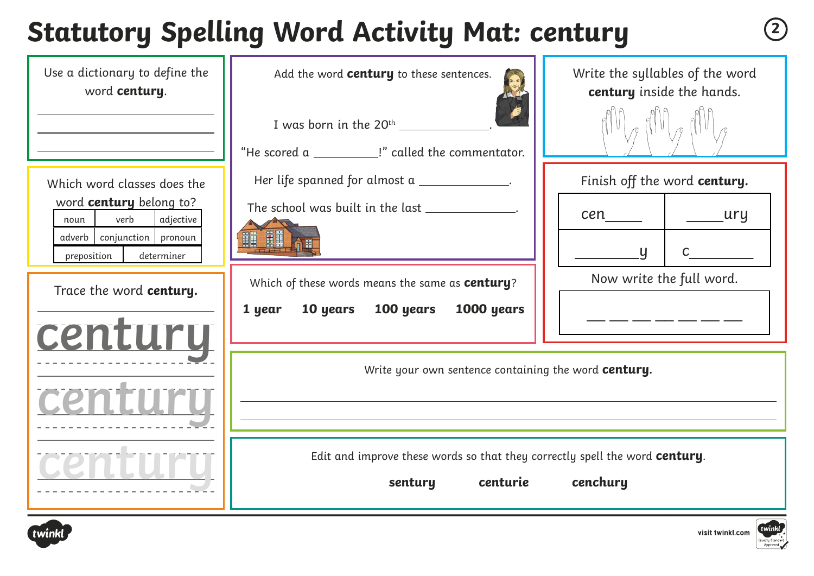# **Statutory Spelling Word Activity Mat: century <sup>2</sup>**

| Use a dictionary to define the<br>word century.                                                                                                                                                  | Add the word century to these sentences.<br>I was born in the 20 <sup>th</sup><br>"He scored a ____________!" called the commentator.                                                                                     | Write the syllables of the word<br>century inside the hands.                                                                                       |
|--------------------------------------------------------------------------------------------------------------------------------------------------------------------------------------------------|---------------------------------------------------------------------------------------------------------------------------------------------------------------------------------------------------------------------------|----------------------------------------------------------------------------------------------------------------------------------------------------|
| Which word classes does the<br>word century belong to?<br>verb<br>adjective<br>noun<br>conjunction   pronoun<br>adverb<br>determiner<br>preposition<br>Trace the word <b>century.</b><br>century | Her life spanned for almost a _____________.<br>The school was built in the last _____________.<br>Which of these words means the same as century?<br>10 years 100 years<br>1000 years<br>1 year                          | Finish off the word century.<br>$\rule{1em}{0.15mm}$ $\frac{\text{ury}}{\text{ury}}$<br>$\overline{y}$<br>$\mathsf{C}$<br>Now write the full word. |
|                                                                                                                                                                                                  | Write your own sentence containing the word century.<br><u> 1989 - Johann Barbara, martxa al III-lea (h. 1989).</u><br>Edit and improve these words so that they correctly spell the word century.<br>centurie<br>sentury | cenchury                                                                                                                                           |



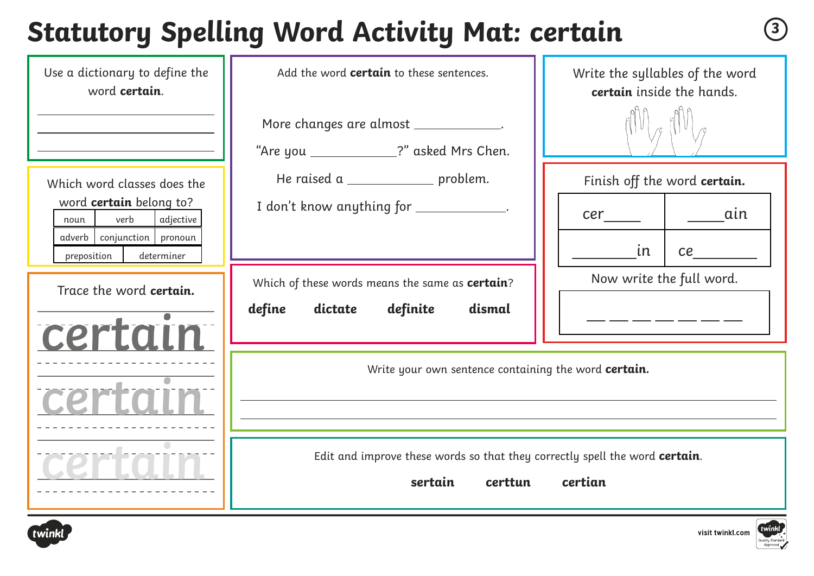#### **Statutory Spelling Word Activity Mat: certain <sup>3</sup>**

| Use a dictionary to define the<br>word certain.                                        | Add the word <b>certain</b> to these sentences.                                                   | Write the syllables of the word<br><b>certain</b> inside the hands. |
|----------------------------------------------------------------------------------------|---------------------------------------------------------------------------------------------------|---------------------------------------------------------------------|
|                                                                                        | More changes are almost _____________.<br>"Are you _____________?" asked Mrs Chen.                |                                                                     |
| Which word classes does the                                                            | He raised a ______________ problem.                                                               | Finish off the word certain.                                        |
| word certain belong to?<br>verb<br>adjective<br>noun<br>adverb   conjunction   pronoun | I don't know anything for _____________.                                                          | ain<br>cer                                                          |
| preposition<br>determiner                                                              |                                                                                                   | in<br>ce                                                            |
| Trace the word certain.                                                                | Which of these words means the same as certain?                                                   | Now write the full word.                                            |
| certain                                                                                | definite<br>dismal<br>define<br>dictate                                                           | المنتقل المنتقل لمنتقل المنتقل المنتقل المنتقل                      |
|                                                                                        | Write your own sentence containing the word certain.                                              |                                                                     |
|                                                                                        | <u> 1980 - Andrea Andrew Maria (h. 1980).</u>                                                     |                                                                     |
|                                                                                        | Edit and improve these words so that they correctly spell the word certain.<br>sertain<br>certtun | certian                                                             |
|                                                                                        |                                                                                                   |                                                                     |



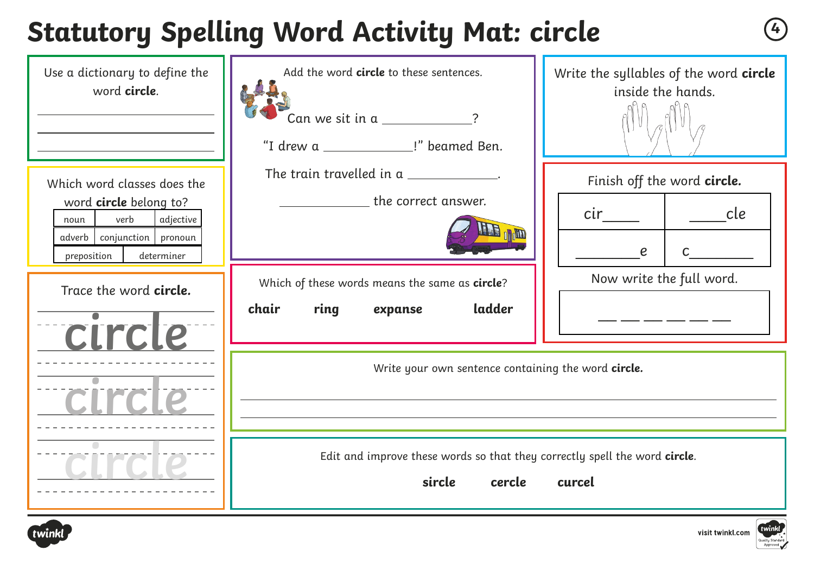## **Statutory Spelling Word Activity Mat: circle <sup>4</sup>**

| Use a dictionary to define the<br>word circle.                                                                                                                                              | Add the word circle to these sentences.<br>$Can we sit in a ______$<br>"I drew a _______________!" beamed Ben.                                                                                                                                                                  | Write the syllables of the word circle<br>inside the hands.                                        |
|---------------------------------------------------------------------------------------------------------------------------------------------------------------------------------------------|---------------------------------------------------------------------------------------------------------------------------------------------------------------------------------------------------------------------------------------------------------------------------------|----------------------------------------------------------------------------------------------------|
| Which word classes does the<br>word circle belong to?<br>verb<br>adjective<br>noun<br>conjunction pronoun<br>adverb<br>determiner<br>preposition<br>Trace the word <b>circle.</b><br>circle | The train travelled in a<br><b>Example 20</b> the correct answer.<br>Which of these words means the same as circle?<br>ladder<br>chair<br>ring<br>expanse                                                                                                                       | Finish off the word circle.<br>cle <b>c</b><br>cir<br>$\boldsymbol{e}$<br>Now write the full word. |
| CIrc                                                                                                                                                                                        | Write your own sentence containing the word circle.<br><u> 1989 - Andrea Station Barbara, actor a component de la componentación de la componentación de la componentació</u><br>Edit and improve these words so that they correctly spell the word circle.<br>sircle<br>cercle | curcel                                                                                             |